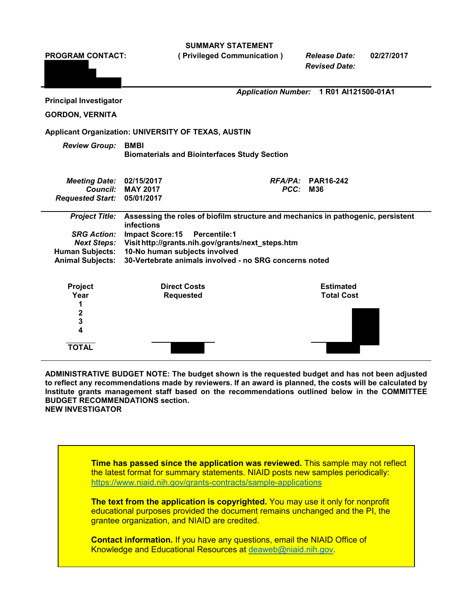**SUMMARY STATEMENT**

**PROGRAM CONTACT: ( Privileged Communication )** *Release Date:* **02/27/2017 Principal Investigator GORDON, VERNITA** *Application Number:* **1 R01 AI121500-01A1 Applicant Organization: UNIVERSITY OF TEXAS, AUSTIN** *Review Group:* **BMBI Biomaterials and Biointerfaces Study Section** *Meeting Date:* **02/15/2017** *RFA/PA:* **PAR16-242**  $C$ *Council:* **MAY** 2017 *Requested Start:* **05/01/2017** *Project Title:* **Assessing the roles of biofilm structure and mechanics in pathogenic, persistent infections** *SRG Action:* **Impact Score:15 Percentile:1** *Next Steps:* **Visi[thttp://grants.nih.gov/grants/next\\_steps.htm](http://grants.nih.gov/grants/next_steps.htm) Human Subjects: 10-No human subjects involved Animal Subjects: 30-Vertebrate animals involved - no SRG concerns noted Project Direct Costs Estimated Year Requested 1 2 3 4 TOTAL** *Revised Date:*

**ADMINISTRATIVE BUDGET NOTE: The budget shown is the requested budget and has not been adjusted to reflect any recommendations made by reviewers. If an award is planned, the costs will be calculated by Institute grants management staff based on the recommendations outlined below in the COMMITTEE BUDGET RECOMMENDATIONS section. NEW INVESTIGATOR**

**Time has passed since the application was reviewed.** This sample may not reflect the latest format for summary statements. NIAID posts new samples periodically: <https://www.niaid.nih.gov/grants-contracts/sample-applications>

**The text from the application is copyrighted.** You may use it only for nonprofit educational purposes provided the document remains unchanged and the PI, the grantee organization, and NIAID are credited.

**Contact information.** If you have any questions, email the NIAID Office of Knowledge and Educational Resources at [deaweb@niaid.nih.gov.](mailto:deaweb@niaid.nih.gov)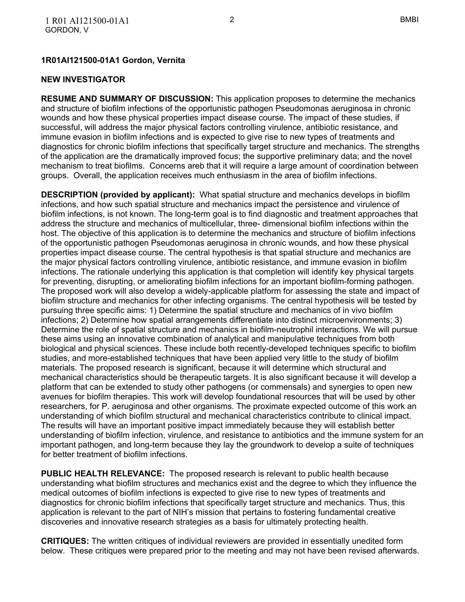#### **1R01AI121500-01A1 Gordon, Vernita**

#### **NEW INVESTIGATOR**

**RESUME AND SUMMARY OF DISCUSSION:** This application proposes to determine the mechanics and structure of biofilm infections of the opportunistic pathogen Pseudomonas aeruginosa in chronic wounds and how these physical properties impact disease course. The impact of these studies, if successful, will address the major physical factors controlling virulence, antibiotic resistance, and immune evasion in biofilm infections and is expected to give rise to new types of treatments and diagnostics for chronic biofilm infections that specifically target structure and mechanics. The strengths of the application are the dramatically improved focus; the supportive preliminary data; and the novel mechanism to treat biofilms. Concerns areb that it will require a large amount of coordination between groups. Overall, the application receives much enthusiasm in the area of biofilm infections.

**DESCRIPTION (provided by applicant):** What spatial structure and mechanics develops in biofilm infections, and how such spatial structure and mechanics impact the persistence and virulence of biofilm infections, is not known. The long-term goal is to find diagnostic and treatment approaches that address the structure and mechanics of multicellular, three- dimensional biofilm infections within the host. The objective of this application is to determine the mechanics and structure of biofilm infections of the opportunistic pathogen Pseudomonas aeruginosa in chronic wounds, and how these physical properties impact disease course. The central hypothesis is that spatial structure and mechanics are the major physical factors controlling virulence, antibiotic resistance, and immune evasion in biofilm infections. The rationale underlying this application is that completion will identify key physical targets for preventing, disrupting, or ameliorating biofilm infections for an important biofilm-forming pathogen. The proposed work will also develop a widely-applicable platform for assessing the state and impact of biofilm structure and mechanics for other infecting organisms. The central hypothesis will be tested by pursuing three specific aims: 1) Determine the spatial structure and mechanics of in vivo biofilm infections; 2) Determine how spatial arrangements differentiate into distinct microenvironments; 3) Determine the role of spatial structure and mechanics in biofilm-neutrophil interactions. We will pursue these aims using an innovative combination of analytical and manipulative techniques from both biological and physical sciences. These include both recently-developed techniques specific to biofilm studies, and more-established techniques that have been applied very little to the study of biofilm materials. The proposed research is significant, because it will determine which structural and mechanical characteristics should be therapeutic targets. It is also significant because it will develop a platform that can be extended to study other pathogens (or commensals) and synergies to open new avenues for biofilm therapies. This work will develop foundational resources that will be used by other researchers, for P. aeruginosa and other organisms. The proximate expected outcome of this work an understanding of which biofilm structural and mechanical characteristics contribute to clinical impact. The results will have an important positive impact immediately because they will establish better understanding of biofilm infection, virulence, and resistance to antibiotics and the immune system for an important pathogen, and long-term because they lay the groundwork to develop a suite of techniques for better treatment of biofilm infections.

**PUBLIC HEALTH RELEVANCE:** The proposed research is relevant to public health because understanding what biofilm structures and mechanics exist and the degree to which they influence the medical outcomes of biofilm infections is expected to give rise to new types of treatments and diagnostics for chronic biofilm infections that specifically target structure and mechanics. Thus, this application is relevant to the part of NIH's mission that pertains to fostering fundamental creative discoveries and innovative research strategies as a basis for ultimately protecting health.

**CRITIQUES:** The written critiques of individual reviewers are provided in essentially unedited form below. These critiques were prepared prior to the meeting and may not have been revised afterwards.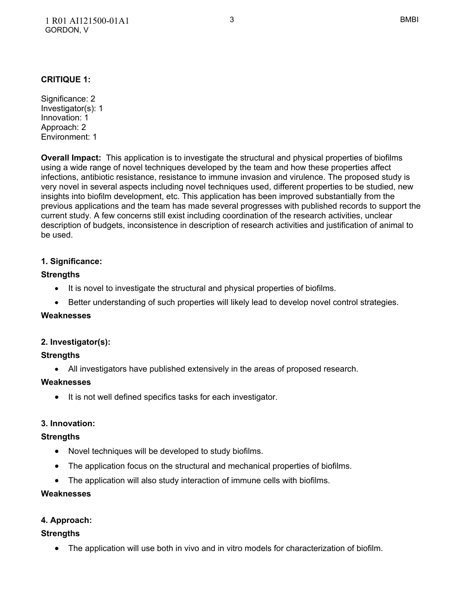# **CRITIQUE 1:**

Significance: 2 Investigator(s): 1 Innovation: 1 Approach: 2 Environment: 1

**Overall Impact:** This application is to investigate the structural and physical properties of biofilms using a wide range of novel techniques developed by the team and how these properties affect infections, antibiotic resistance, resistance to immune invasion and virulence. The proposed study is very novel in several aspects including novel techniques used, different properties to be studied, new insights into biofilm development, etc. This application has been improved substantially from the previous applications and the team has made several progresses with published records to support the current study. A few concerns still exist including coordination of the research activities, unclear description of budgets, inconsistence in description of research activities and justification of animal to be used.

# **1. Significance:**

# **Strengths**

- It is novel to investigate the structural and physical properties of biofilms.
- Better understanding of such properties will likely lead to develop novel control strategies.

## **Weaknesses**

# **2. Investigator(s):**

# **Strengths**

All investigators have published extensively in the areas of proposed research.

## **Weaknesses**

• It is not well defined specifics tasks for each investigator.

# **3. Innovation:**

## **Strengths**

- Novel techniques will be developed to study biofilms.
- The application focus on the structural and mechanical properties of biofilms.
- The application will also study interaction of immune cells with biofilms.

## **Weaknesses**

# **4. Approach:**

## **Strengths**

The application will use both in vivo and in vitro models for characterization of biofilm.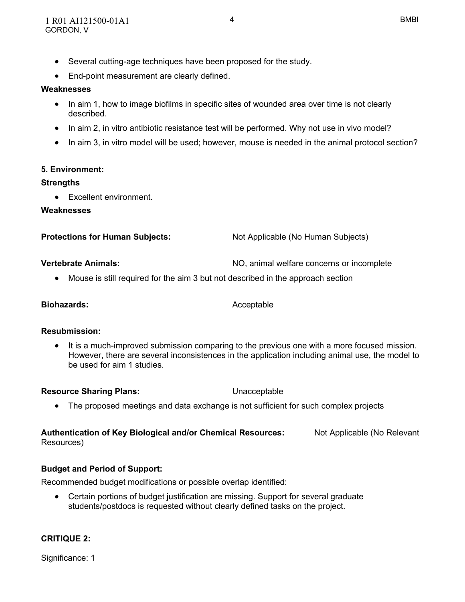- Several cutting-age techniques have been proposed for the study.
- End-point measurement are clearly defined.

#### **Weaknesses**

- In aim 1, how to image biofilms in specific sites of wounded area over time is not clearly described.
- In aim 2, in vitro antibiotic resistance test will be performed. Why not use in vivo model?
- In aim 3, in vitro model will be used; however, mouse is needed in the animal protocol section?

## **5. Environment:**

## **Strengths**

• Excellent environment.

## **Weaknesses**

| <b>Protections for Human Subjects:</b> | Not Applicable (No Human Subjects) |
|----------------------------------------|------------------------------------|
|                                        |                                    |

**Vertebrate Animals:** NO, animal welfare concerns or incomplete

Mouse is still required for the aim 3 but not described in the approach section

#### **Biohazards:** Acceptable

## **Resubmission:**

 It is a much-improved submission comparing to the previous one with a more focused mission. However, there are several inconsistences in the application including animal use, the model to be used for aim 1 studies.

**Resource Sharing Plans:** Unacceptable

• The proposed meetings and data exchange is not sufficient for such complex projects

## **Authentication of Key Biological and/or Chemical Resources:** Not Applicable (No Relevant Resources)

## **Budget and Period of Support:**

Recommended budget modifications or possible overlap identified:

 Certain portions of budget justification are missing. Support for several graduate students/postdocs is requested without clearly defined tasks on the project.

## **CRITIQUE 2:**

Significance: 1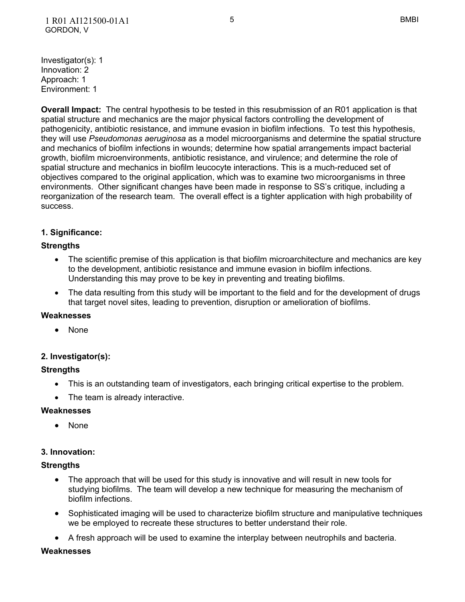**Overall Impact:** The central hypothesis to be tested in this resubmission of an R01 application is that spatial structure and mechanics are the major physical factors controlling the development of pathogenicity, antibiotic resistance, and immune evasion in biofilm infections. To test this hypothesis, they will use *Pseudomonas aeruginosa* as a model microorganisms and determine the spatial structure and mechanics of biofilm infections in wounds; determine how spatial arrangements impact bacterial growth, biofilm microenvironments, antibiotic resistance, and virulence; and determine the role of spatial structure and mechanics in biofilm leucocyte interactions. This is a much-reduced set of objectives compared to the original application, which was to examine two microorganisms in three environments. Other significant changes have been made in response to SS's critique, including a reorganization of the research team. The overall effect is a tighter application with high probability of success.

## **1. Significance:**

## **Strengths**

- The scientific premise of this application is that biofilm microarchitecture and mechanics are key to the development, antibiotic resistance and immune evasion in biofilm infections. Understanding this may prove to be key in preventing and treating biofilms.
- The data resulting from this study will be important to the field and for the development of drugs that target novel sites, leading to prevention, disruption or amelioration of biofilms.

#### **Weaknesses**

None

## **2. Investigator(s):**

## **Strengths**

- This is an outstanding team of investigators, each bringing critical expertise to the problem.
- The team is already interactive.

#### **Weaknesses**

None

## **3. Innovation:**

#### **Strengths**

- The approach that will be used for this study is innovative and will result in new tools for studying biofilms. The team will develop a new technique for measuring the mechanism of biofilm infections.
- Sophisticated imaging will be used to characterize biofilm structure and manipulative techniques we be employed to recreate these structures to better understand their role.
- A fresh approach will be used to examine the interplay between neutrophils and bacteria.

#### **Weaknesses**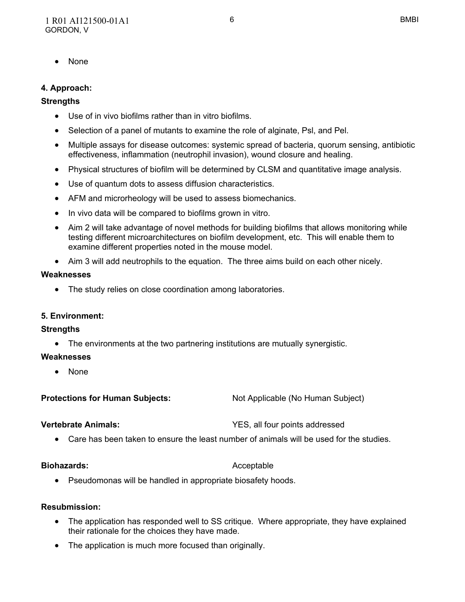• None

# **4. Approach:**

## **Strengths**

- Use of in vivo biofilms rather than in vitro biofilms.
- Selection of a panel of mutants to examine the role of alginate, Psl, and Pel.
- Multiple assays for disease outcomes: systemic spread of bacteria, quorum sensing, antibiotic effectiveness, inflammation (neutrophil invasion), wound closure and healing.
- Physical structures of biofilm will be determined by CLSM and quantitative image analysis.
- Use of quantum dots to assess diffusion characteristics.
- AFM and microrheology will be used to assess biomechanics.
- In vivo data will be compared to biofilms grown in vitro.
- Aim 2 will take advantage of novel methods for building biofilms that allows monitoring while testing different microarchitectures on biofilm development, etc. This will enable them to examine different properties noted in the mouse model.
- Aim 3 will add neutrophils to the equation. The three aims build on each other nicely.

#### **Weaknesses**

• The study relies on close coordination among laboratories.

## **5. Environment:**

## **Strengths**

The environments at the two partnering institutions are mutually synergistic.

## **Weaknesses**

None

**Protections for Human Subjects:** Not Applicable (No Human Subject)

**Vertebrate Animals:** YES, all four points addressed

Care has been taken to ensure the least number of animals will be used for the studies.

#### **Biohazards:** Acceptable

Pseudomonas will be handled in appropriate biosafety hoods.

## **Resubmission:**

- The application has responded well to SS critique. Where appropriate, they have explained their rationale for the choices they have made.
- The application is much more focused than originally.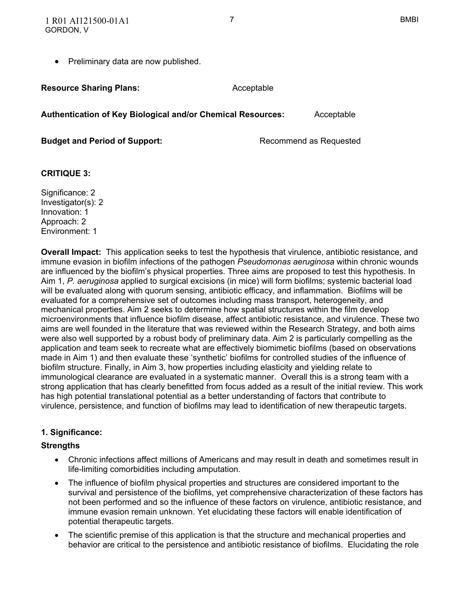• Preliminary data are now published.

**Resource Sharing Plans:** Acceptable

**Authentication of Key Biological and/or Chemical Resources:** Acceptable

**Budget and Period of Support:** Recommend as Requested

# **CRITIQUE 3:**

Significance: 2 Investigator(s): 2 Innovation: 1 Approach: 2 Environment: 1

**Overall Impact:** This application seeks to test the hypothesis that virulence, antibiotic resistance, and immune evasion in biofilm infections of the pathogen *Pseudomonas aeruginosa* within chronic wounds are influenced by the biofilm's physical properties. Three aims are proposed to test this hypothesis. In Aim 1, *P. aeruginosa* applied to surgical excisions (in mice) will form biofilms; systemic bacterial load will be evaluated along with quorum sensing, antibiotic efficacy, and inflammation. Biofilms will be evaluated for a comprehensive set of outcomes including mass transport, heterogeneity, and mechanical properties. Aim 2 seeks to determine how spatial structures within the film develop microenvironments that influence biofilm disease, affect antibiotic resistance, and virulence. These two aims are well founded in the literature that was reviewed within the Research Strategy, and both aims were also well supported by a robust body of preliminary data. Aim 2 is particularly compelling as the application and team seek to recreate what are effectively biomimetic biofilms (based on observations made in Aim 1) and then evaluate these 'synthetic' biofilms for controlled studies of the influence of biofilm structure. Finally, in Aim 3, how properties including elasticity and yielding relate to immunological clearance are evaluated in a systematic manner. Overall this is a strong team with a strong application that has clearly benefitted from focus added as a result of the initial review. This work has high potential translational potential as a better understanding of factors that contribute to virulence, persistence, and function of biofilms may lead to identification of new therapeutic targets.

## **1. Significance:**

## **Strengths**

- Chronic infections affect millions of Americans and may result in death and sometimes result in life-limiting comorbidities including amputation.
- The influence of biofilm physical properties and structures are considered important to the survival and persistence of the biofilms, yet comprehensive characterization of these factors has not been performed and so the influence of these factors on virulence, antibiotic resistance, and immune evasion remain unknown. Yet elucidating these factors will enable identification of potential therapeutic targets.
- The scientific premise of this application is that the structure and mechanical properties and behavior are critical to the persistence and antibiotic resistance of biofilms. Elucidating the role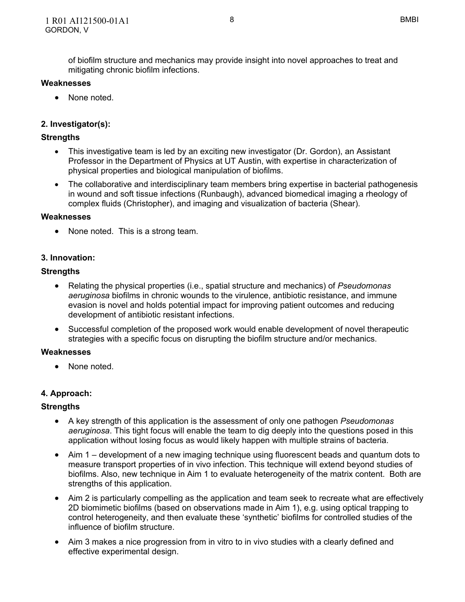of biofilm structure and mechanics may provide insight into novel approaches to treat and mitigating chronic biofilm infections.

#### **Weaknesses**

• None noted.

# **2. Investigator(s):**

#### **Strengths**

- This investigative team is led by an exciting new investigator (Dr. Gordon), an Assistant Professor in the Department of Physics at UT Austin, with expertise in characterization of physical properties and biological manipulation of biofilms.
- The collaborative and interdisciplinary team members bring expertise in bacterial pathogenesis in wound and soft tissue infections (Runbaugh), advanced biomedical imaging a rheology of complex fluids (Christopher), and imaging and visualization of bacteria (Shear).

#### **Weaknesses**

• None noted. This is a strong team.

## **3. Innovation:**

#### **Strengths**

- Relating the physical properties (i.e., spatial structure and mechanics) of *Pseudomonas aeruginosa* biofilms in chronic wounds to the virulence, antibiotic resistance, and immune evasion is novel and holds potential impact for improving patient outcomes and reducing development of antibiotic resistant infections.
- Successful completion of the proposed work would enable development of novel therapeutic strategies with a specific focus on disrupting the biofilm structure and/or mechanics.

#### **Weaknesses**

• None noted.

## **4. Approach:**

## **Strengths**

- A key strength of this application is the assessment of only one pathogen *Pseudomonas aeruginosa*. This tight focus will enable the team to dig deeply into the questions posed in this application without losing focus as would likely happen with multiple strains of bacteria.
- Aim 1 development of a new imaging technique using fluorescent beads and quantum dots to measure transport properties of in vivo infection. This technique will extend beyond studies of biofilms. Also, new technique in Aim 1 to evaluate heterogeneity of the matrix content. Both are strengths of this application.
- Aim 2 is particularly compelling as the application and team seek to recreate what are effectively 2D biomimetic biofilms (based on observations made in Aim 1), e.g. using optical trapping to control heterogeneity, and then evaluate these 'synthetic' biofilms for controlled studies of the influence of biofilm structure.
- Aim 3 makes a nice progression from in vitro to in vivo studies with a clearly defined and effective experimental design.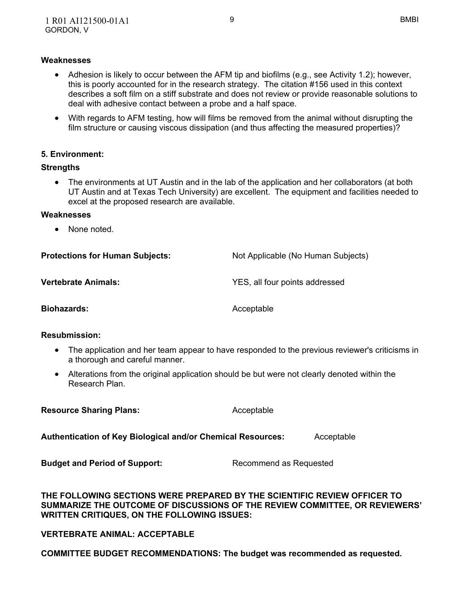#### **Weaknesses**

- Adhesion is likely to occur between the AFM tip and biofilms (e.g., see Activity 1.2); however, this is poorly accounted for in the research strategy. The citation #156 used in this context describes a soft film on a stiff substrate and does not review or provide reasonable solutions to deal with adhesive contact between a probe and a half space.
- With regards to AFM testing, how will films be removed from the animal without disrupting the film structure or causing viscous dissipation (and thus affecting the measured properties)?

#### **5. Environment:**

#### **Strengths**

 The environments at UT Austin and in the lab of the application and her collaborators (at both UT Austin and at Texas Tech University) are excellent. The equipment and facilities needed to excel at the proposed research are available.

#### **Weaknesses**

• None noted

| <b>Protections for Human Subjects:</b> | Not Applicable (No Human Subjects) |
|----------------------------------------|------------------------------------|
| <b>Vertebrate Animals:</b>             | YES, all four points addressed     |
| <b>Biohazards:</b>                     | Acceptable                         |

#### **Resubmission:**

- The application and her team appear to have responded to the previous reviewer's criticisms in a thorough and careful manner.
- Alterations from the original application should be but were not clearly denoted within the Research Plan.

**Resource Sharing Plans:** Acceptable

**Authentication of Key Biological and/or Chemical Resources:** Acceptable

**Budget and Period of Support:** Recommend as Requested

#### **THE FOLLOWING SECTIONS WERE PREPARED BY THE SCIENTIFIC REVIEW OFFICER TO SUMMARIZE THE OUTCOME OF DISCUSSIONS OF THE REVIEW COMMITTEE, OR REVIEWERS' WRITTEN CRITIQUES, ON THE FOLLOWING ISSUES:**

## **VERTEBRATE ANIMAL: ACCEPTABLE**

**COMMITTEE BUDGET RECOMMENDATIONS: The budget was recommended as requested.**